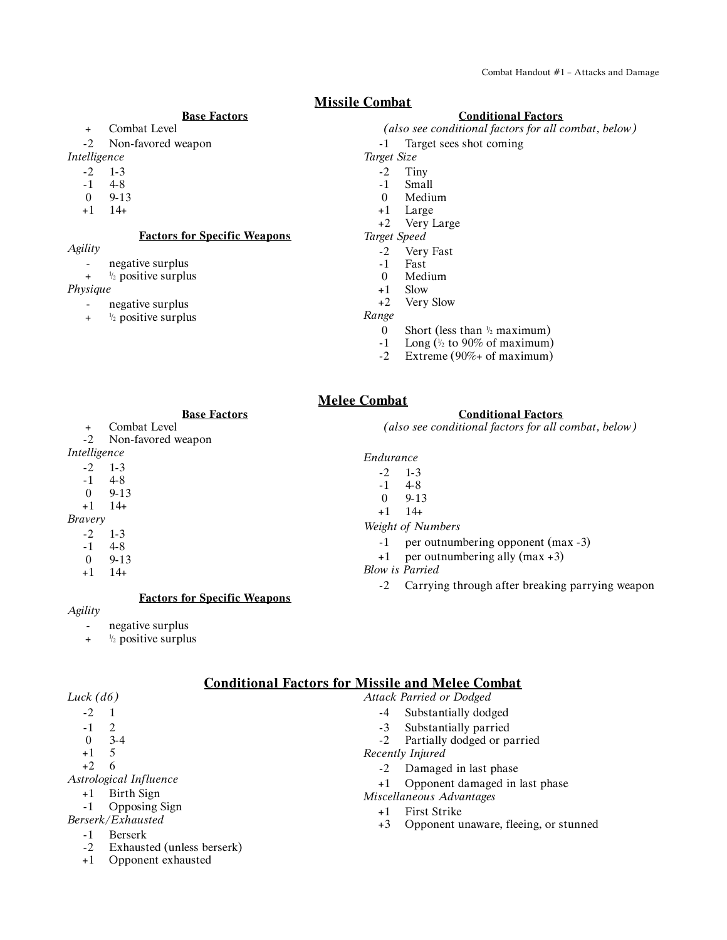# **Missile Combat**

#### **Base Factors**

- + Combat Level
- -2 Non-favored weapon
- *Intelligence*
	- -2 1-3
	- $-1$  4-8
	- 0 9-13
	- +1 14+
	-

# **Factors for Specific Weapons**

- *Agility*
	- negative surplus
	- $+$   $\frac{1}{2}$  positive surplus
- *Physique*
	- negative surplus
		- $+$   $\frac{1}{2}$  positive surplus

#### **Conditional Factors**

- *(also see conditional factors for all combat, below)*
- -1 Target sees shot coming
- *Target Size*
	- -2 Tiny
	- -1 Small
	- 0 Medium
	- +1 Large
	- +2 Very Large
- *Target Speed*
	- -2 Very Fast
	- -1 Fast
	- 0 Medium
	- +1 Slow
	- +2 Very Slow

## *Range*

- 0 Short (less than  $\frac{1}{2}$  maximum)
- $-1$  Long ( $\frac{1}{2}$  to 90% of maximum)
- -2 Extreme (90%+ of maximum)

# **Melee Combat**

**Base Factors**

- + Combat Level<br>-2 Non-favored v
- Non-favored weapon

# *Intelligence*

- -2 1-3
- -1 4-8
- 0 9-13

#### +1 14+

- *Bravery*
	- -2 1-3
	- -1 4-8
	- 0 9-13
	- +1 14+

#### **Factors for Specific Weapons**

#### *Agility*

- negative surplus
- $+$   $\frac{1}{2}$  positive surplus

### **Conditional Factors for Missile and Melee Combat**

| Luck (d6)                    | <b>Attack Parried or Dodged</b>               |
|------------------------------|-----------------------------------------------|
| $-2$                         | Substantially dodged<br>$-4$                  |
| 2<br>$-1$                    | Substantially parried<br>$-3$                 |
| $3-4$<br>$\theta$            | -2 Partially dodged or parried                |
| $+1$<br>-5                   | Recently Injured                              |
| $+2$<br>-6                   | Damaged in last phase<br>$-2$                 |
| Astrological Influence       | +1 Opponent damaged in last phase             |
| Birth Sign<br>$+1$           | Miscellaneous Advantages                      |
| <b>Opposing Sign</b><br>$-1$ | First Strike                                  |
| Berserk/Exhausted            | Opponent unaware, fleeing, or stunned<br>$+3$ |
|                              |                                               |

- -1 Berserk
- -2 Exhausted (unless berserk)
- +1 Opponent exhausted

# **Conditional Factors**

*(also see conditional factors for all combat, below)*

*Endurance*

*Weight of Numbers*

- 
- 

#### *Blow is Parried*

-2 Carrying through after breaking parrying weapon

-2 1-3  $-1$  4-8 0 9-13

- -1 per outnumbering opponent (max -3)
- +1 per outnumbering ally (max +3)

- 
- 

# +1 14+